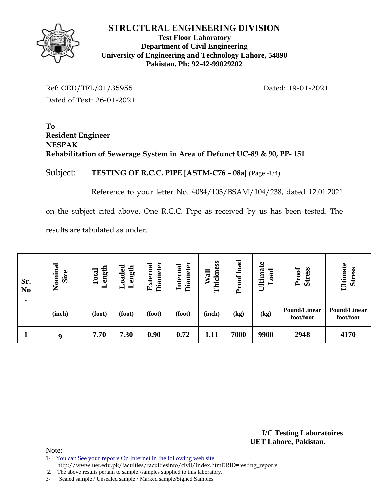

## **Test Floor Laboratory Department of Civil Engineering University of Engineering and Technology Lahore, 54890 Pakistan. Ph: 92-42-99029202**

Ref: CED/TFL/01/35955 Dated: 19-01-2021 Dated of Test: 26-01-2021

**To Resident Engineer NESPAK Rehabilitation of Sewerage System in Area of Defunct UC-89 & 90, PP- 151** 

Subject: **TESTING OF R.C.C. PIPE [ASTM-C76 – 08a]** (Page -1/4)

Reference to your letter No. 4084/103/BSAM/104/238, dated 12.01.2021

on the subject cited above. One R.C.C. Pipe as received by us has been tested. The results are tabulated as under.

| Sr.<br>N <sub>0</sub> | Nominal<br>Size | ength<br>Total | $\alpha$ ded<br>ength<br>▬<br>┙ | <b>Diameter</b><br>External | <b>Diameter</b><br>Internal | Thickness<br>$\overline{\mathbf{a}}$<br>₿ | Proof load | Ultimate<br><sub>oad</sub><br>━ | Proof<br><b>Stress</b>           | Ultimate<br><b>Stress</b>        |
|-----------------------|-----------------|----------------|---------------------------------|-----------------------------|-----------------------------|-------------------------------------------|------------|---------------------------------|----------------------------------|----------------------------------|
|                       | (inch)          | (foot)         | (foot)                          | (foot)                      | (foot)                      | (inch)                                    | (kg)       | (kg)                            | <b>Pound/Linear</b><br>foot/foot | <b>Pound/Linear</b><br>foot/foot |
|                       | 9               | 7.70           | 7.30                            | 0.90                        | 0.72                        | 1.11                                      | 7000       | 9900                            | 2948                             | 4170                             |

**I/C Testing Laboratoires UET Lahore, Pakistan**.

Note:

1- You can See your reports On Internet in the following web site

http://www.uet.edu.pk/faculties/facultiesinfo/civil/index.html?RID=testing\_reports

2. The above results pertain to sample /samples supplied to this laboratory.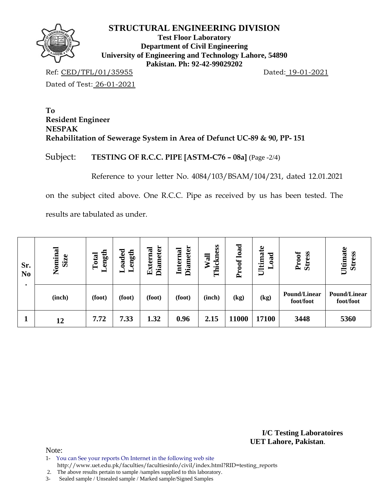

**Test Floor Laboratory Department of Civil Engineering University of Engineering and Technology Lahore, 54890 Pakistan. Ph: 92-42-99029202** 

Ref: CED/TFL/01/35955 Dated: 19-01-2021

Dated of Test: 26-01-2021

**To Resident Engineer NESPAK Rehabilitation of Sewerage System in Area of Defunct UC-89 & 90, PP- 151** 

Subject: **TESTING OF R.C.C. PIPE [ASTM-C76 – 08a]** (Page -2/4)

Reference to your letter No. 4084/103/BSAM/104/231, dated 12.01.2021

on the subject cited above. One R.C.C. Pipe as received by us has been tested. The

results are tabulated as under.

| Sr.<br>N <sub>0</sub><br>٠ | Nominal<br>Size | ength<br>Total<br>▬ | oaded<br>ength<br>- | <b>Diameter</b><br>External | <b>Diameter</b><br>Internal | Thickness<br>Wall | load<br>Proof | Ultimate<br>oad<br>━ | Proof<br>Stress                  | Ultimate<br><b>Stress</b>        |
|----------------------------|-----------------|---------------------|---------------------|-----------------------------|-----------------------------|-------------------|---------------|----------------------|----------------------------------|----------------------------------|
|                            | (inch)          | (foot)              | (foot)              | (foot)                      | (foot)                      | (inch)            | (kg)          | (kg)                 | <b>Pound/Linear</b><br>foot/foot | <b>Pound/Linear</b><br>foot/foot |
|                            | 12              | 7.72                | 7.33                | 1.32                        | 0.96                        | 2.15              | 11000         | 17100                | 3448                             | 5360                             |

**I/C Testing Laboratoires UET Lahore, Pakistan**.

Note:

1- You can See your reports On Internet in the following web site http://www.uet.edu.pk/faculties/facultiesinfo/civil/index.html?RID=testing\_reports

2. The above results pertain to sample /samples supplied to this laboratory.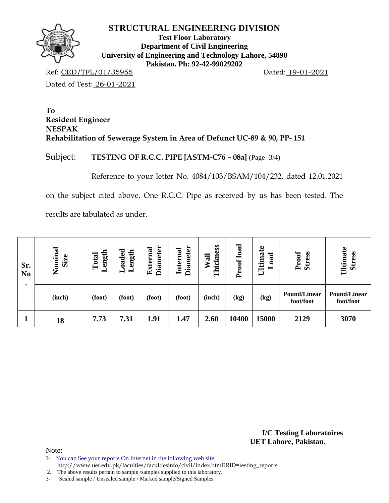

**Test Floor Laboratory Department of Civil Engineering University of Engineering and Technology Lahore, 54890 Pakistan. Ph: 92-42-99029202** 

Ref: CED/TFL/01/35955 Dated: 19-01-2021

Dated of Test: 26-01-2021

**To Resident Engineer NESPAK Rehabilitation of Sewerage System in Area of Defunct UC-89 & 90, PP- 151** 

Subject: **TESTING OF R.C.C. PIPE [ASTM-C76 – 08a]** (Page -3/4)

Reference to your letter No. 4084/103/BSAM/104/232, dated 12.01.2021

on the subject cited above. One R.C.C. Pipe as received by us has been tested. The

results are tabulated as under.

| Sr.<br>N <sub>o</sub> | Nominal<br>Size | ength<br>Total<br>− | oaded<br>ength<br>- | <b>Diameter</b><br>External | <b>Diameter</b><br><b>Internal</b> | Thickness<br>$\overline{\mathbf{a}}$ | load<br>Proof | Ultimate<br>bad<br>┙ | <b>Stress</b><br>Proof           | Ultimate<br><b>Stress</b>        |
|-----------------------|-----------------|---------------------|---------------------|-----------------------------|------------------------------------|--------------------------------------|---------------|----------------------|----------------------------------|----------------------------------|
|                       | (inch)          | (foot)              | (foot)              | (foot)                      | (foot)                             | (inch)                               | (kg)          | (kg)                 | <b>Pound/Linear</b><br>foot/foot | <b>Pound/Linear</b><br>foot/foot |
|                       | 18              | 7.73                | 7.31                | 1.91                        | 1.47                               | 2.60                                 | 10400         | 15000                | 2129                             | 3070                             |

**I/C Testing Laboratoires UET Lahore, Pakistan**.

Note:

1- You can See your reports On Internet in the following web site http://www.uet.edu.pk/faculties/facultiesinfo/civil/index.html?RID=testing\_reports

2. The above results pertain to sample /samples supplied to this laboratory.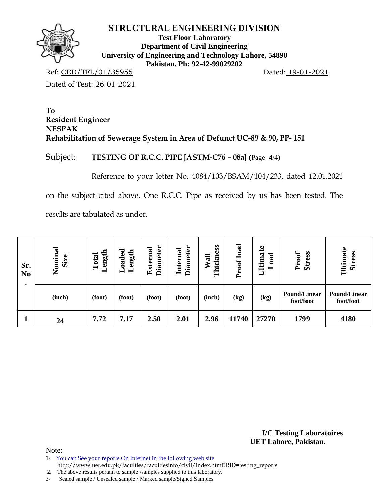

**Test Floor Laboratory Department of Civil Engineering University of Engineering and Technology Lahore, 54890 Pakistan. Ph: 92-42-99029202** 

Ref: CED/TFL/01/35955 Dated: 19-01-2021

Dated of Test: 26-01-2021

**To Resident Engineer NESPAK Rehabilitation of Sewerage System in Area of Defunct UC-89 & 90, PP- 151** 

Subject: **TESTING OF R.C.C. PIPE [ASTM-C76 – 08a]** (Page -4/4)

Reference to your letter No. 4084/103/BSAM/104/233, dated 12.01.2021

on the subject cited above. One R.C.C. Pipe as received by us has been tested. The

results are tabulated as under.

| Sr.<br>N <sub>0</sub><br>٠ | Nominal<br><b>Size</b> | ength<br>Total<br>▬ | oaded<br>ength<br>− | <b>Diameter</b><br>External | <b>Diameter</b><br>Internal | Thickness<br>Wall | Proof load | Ultimate<br>bad<br>▬ | <b>Stress</b><br>Proof           | Ultimate<br><b>Stress</b>        |
|----------------------------|------------------------|---------------------|---------------------|-----------------------------|-----------------------------|-------------------|------------|----------------------|----------------------------------|----------------------------------|
|                            | (inch)                 | (foot)              | (foot)              | (foot)                      | (foot)                      | (inch)            | (kg)       | (kg)                 | <b>Pound/Linear</b><br>foot/foot | <b>Pound/Linear</b><br>foot/foot |
|                            | 24                     | 7.72                | 7.17                | 2.50                        | 2.01                        | 2.96              | 11740      | 27270                | 1799                             | 4180                             |

**I/C Testing Laboratoires UET Lahore, Pakistan**.

Note:

1- You can See your reports On Internet in the following web site http://www.uet.edu.pk/faculties/facultiesinfo/civil/index.html?RID=testing\_reports

2. The above results pertain to sample /samples supplied to this laboratory.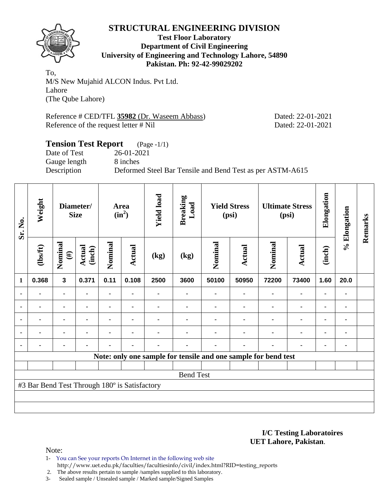

**Test Floor Laboratory Department of Civil Engineering University of Engineering and Technology Lahore, 54890 Pakistan. Ph: 92-42-99029202** 

To, M/S New Mujahid ALCON Indus. Pvt Ltd. Lahore (The Qube Lahore)

Reference # CED/TFL **35982** (Dr. Waseem Abbass) Dated: 22-01-2021 Reference of the request letter # Nil Dated: 22-01-2021

# **Tension Test Report** (Page -1/1) Date of Test 26-01-2021 Gauge length 8 inches Description Deformed Steel Bar Tensile and Bend Test as per ASTM-A615

| Sr. No.        | Weight                                        |                         | Diameter/<br><b>Size</b> |                | Area<br>$(in^2)$ | <b>Yield load</b> | <b>Breaking</b><br>Load                                        |         | <b>Yield Stress</b><br>(psi) | <b>Ultimate Stress</b><br>(psi) |                | Elongation     | % Elongation | Remarks |
|----------------|-----------------------------------------------|-------------------------|--------------------------|----------------|------------------|-------------------|----------------------------------------------------------------|---------|------------------------------|---------------------------------|----------------|----------------|--------------|---------|
|                | $\frac{2}{10}$                                | Nominal<br>$(\#)$       | <b>Actual</b><br>(inch)  | Nominal        | Actual           | (kg)              | (kg)                                                           | Nominal | Actual                       | Nominal                         | <b>Actual</b>  | (inch)         |              |         |
| $\mathbf{1}$   | 0.368                                         | $\overline{\mathbf{3}}$ | 0.371                    | 0.11           | 0.108            | 2500              | 3600                                                           | 50100   | 50950                        | 72200                           | 73400          | 1.60           | 20.0         |         |
| $\blacksquare$ | $\blacksquare$                                | $\blacksquare$          |                          | $\blacksquare$ |                  |                   |                                                                |         | ٠                            |                                 | $\blacksquare$ | ٠              |              |         |
| $\blacksquare$ | $\blacksquare$                                | $\blacksquare$          |                          | ۰              | $\blacksquare$   |                   |                                                                |         | $\blacksquare$               | $\blacksquare$                  | ۰              | ٠              |              |         |
| $\blacksquare$ | ä,                                            | ä,                      |                          |                | $\blacksquare$   |                   |                                                                |         |                              |                                 | $\blacksquare$ | $\blacksquare$ |              |         |
| $\blacksquare$ | ۰                                             | ۰                       |                          |                | $\blacksquare$   |                   |                                                                |         |                              | $\blacksquare$                  | ۰              | ۰              | ٠            |         |
| $\blacksquare$ |                                               | -                       |                          |                | $\blacksquare$   |                   |                                                                |         | ۰                            | $\blacksquare$                  | ۰              | ۰              |              |         |
|                |                                               |                         |                          |                |                  |                   | Note: only one sample for tensile and one sample for bend test |         |                              |                                 |                |                |              |         |
|                |                                               |                         |                          |                |                  |                   |                                                                |         |                              |                                 |                |                |              |         |
|                |                                               |                         |                          |                |                  |                   | <b>Bend Test</b>                                               |         |                              |                                 |                |                |              |         |
|                | #3 Bar Bend Test Through 180° is Satisfactory |                         |                          |                |                  |                   |                                                                |         |                              |                                 |                |                |              |         |
|                |                                               |                         |                          |                |                  |                   |                                                                |         |                              |                                 |                |                |              |         |
|                |                                               |                         |                          |                |                  |                   |                                                                |         |                              |                                 |                |                |              |         |

**I/C Testing Laboratoires UET Lahore, Pakistan**.

Note:

1- You can See your reports On Internet in the following web site http://www.uet.edu.pk/faculties/facultiesinfo/civil/index.html?RID=testing\_reports

2. The above results pertain to sample /samples supplied to this laboratory.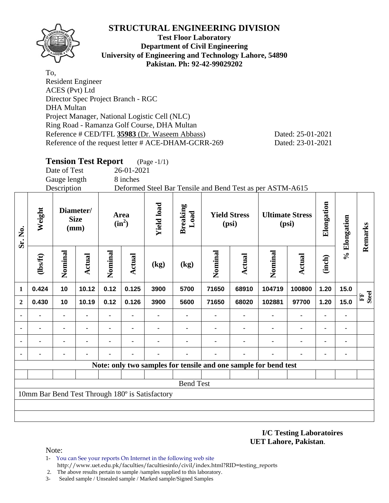

**Test Floor Laboratory Department of Civil Engineering University of Engineering and Technology Lahore, 54890 Pakistan. Ph: 92-42-99029202** 

To, Resident Engineer ACES (Pvt) Ltd Director Spec Project Branch - RGC DHA Multan Project Manager, National Logistic Cell (NLC) Ring Road - Ramanza Golf Course, DHA Multan Reference # CED/TFL **35983** (Dr. Waseem Abbass) Dated: 25-01-2021 Reference of the request letter # ACE-DHAM-GCRR-269 Dated: 23-01-2021

# **Tension Test Report** (Page -1/1)

Date of Test 26-01-2021

Gauge length 8 inches

Description Deformed Steel Bar Tensile and Bend Test as per ASTM-A615

| Sr. No.        | Weight   |                | Diameter/<br><b>Size</b><br>(mm) |                | Area<br>$(in^2)$ | <b>Yield load</b>                               | <b>Breaking</b><br>Load |                                                                 | <b>Yield Stress</b><br>(psi) | <b>Ultimate Stress</b><br>(psi) |                | Elongation     | % Elongation | Remarks                      |
|----------------|----------|----------------|----------------------------------|----------------|------------------|-------------------------------------------------|-------------------------|-----------------------------------------------------------------|------------------------------|---------------------------------|----------------|----------------|--------------|------------------------------|
|                | (lbs/ft) | Nominal        | Actual                           | Nominal        | <b>Actual</b>    | (kg)                                            | (kg)                    | Nominal                                                         | Actual                       | Nominal                         | Actual         | (inch)         |              |                              |
| 1              | 0.424    | 10             | 10.12                            | 0.12           | 0.125            | 3900                                            | 5700                    | 71650                                                           | 68910                        | 104719                          | 100800         | 1.20           | 15.0         |                              |
| $\mathbf{2}$   | 0.430    | 10             | 10.19                            | 0.12           | 0.126            | 3900                                            | 5600                    | 71650                                                           | 68020                        | 102881                          | 97700          | 1.20           | 15.0         | <b>Steel</b><br>$F_{\rm{H}}$ |
| $\blacksquare$ |          |                |                                  |                |                  |                                                 |                         |                                                                 |                              |                                 | $\blacksquare$ |                |              |                              |
| ۰              |          | $\blacksquare$ | ۰                                | $\blacksquare$ |                  |                                                 |                         |                                                                 |                              | ٠                               | $\blacksquare$ | ٠              |              |                              |
|                |          |                |                                  |                |                  |                                                 |                         |                                                                 |                              |                                 |                | $\blacksquare$ |              |                              |
| ۰              |          |                |                                  |                |                  |                                                 |                         |                                                                 |                              |                                 |                | $\blacksquare$ |              |                              |
|                |          |                |                                  |                |                  |                                                 |                         | Note: only two samples for tensile and one sample for bend test |                              |                                 |                |                |              |                              |
|                |          |                |                                  |                |                  |                                                 |                         |                                                                 |                              |                                 |                |                |              |                              |
|                |          |                |                                  |                |                  |                                                 | <b>Bend Test</b>        |                                                                 |                              |                                 |                |                |              |                              |
|                |          |                |                                  |                |                  | 10mm Bar Bend Test Through 180° is Satisfactory |                         |                                                                 |                              |                                 |                |                |              |                              |
|                |          |                |                                  |                |                  |                                                 |                         |                                                                 |                              |                                 |                |                |              |                              |
|                |          |                |                                  |                |                  |                                                 |                         |                                                                 |                              |                                 |                |                |              |                              |

**I/C Testing Laboratoires UET Lahore, Pakistan**.

Note:

- 1- You can See your reports On Internet in the following web site http://www.uet.edu.pk/faculties/facultiesinfo/civil/index.html?RID=testing\_reports
- 2. The above results pertain to sample /samples supplied to this laboratory.
- 3- Sealed sample / Unsealed sample / Marked sample/Signed Samples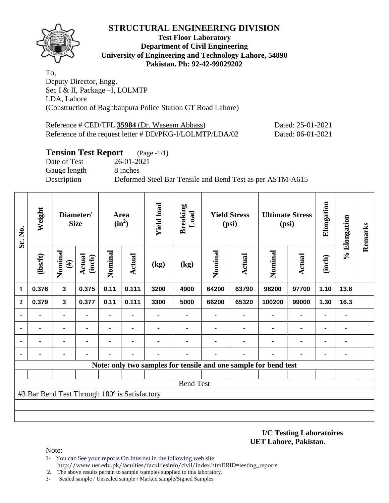

### **Test Floor Laboratory Department of Civil Engineering University of Engineering and Technology Lahore, 54890 Pakistan. Ph: 92-42-99029202**

To, Deputy Director, Engg. Sec I & II, Package –I, LOLMTP LDA, Lahore (Construction of Baghbanpura Police Station GT Road Lahore)

| Reference # CED/TFL 35984 (Dr. Waseem Abbass)            | Dated: 25-01-2021 |
|----------------------------------------------------------|-------------------|
| Reference of the request letter # DD/PKG-I/LOLMTP/LDA/02 | Dated: 06-01-2021 |

## **Tension Test Report** (Page -1/1)

Date of Test 26-01-2021 Gauge length 8 inches

Description Deformed Steel Bar Tensile and Bend Test as per ASTM-A615

| Sr. No.      | Weight                                        |                         | Diameter/<br><b>Size</b> |         | Area<br>$(in^2)$ | <b>Yield load</b> | <b>Breaking</b><br>Load |         | <b>Yield Stress</b><br>(psi) |                                                                 | <b>Ultimate Stress</b><br>(psi) | Elongation     | % Elongation | Remarks |
|--------------|-----------------------------------------------|-------------------------|--------------------------|---------|------------------|-------------------|-------------------------|---------|------------------------------|-----------------------------------------------------------------|---------------------------------|----------------|--------------|---------|
|              | (1bsft)                                       | Nominal<br>$(\#)$       | <b>Actual</b><br>(inch)  | Nominal | <b>Actual</b>    | (kg)              | (kg)                    | Nominal | <b>Actual</b>                | Nominal                                                         | Actual                          | (inch)         |              |         |
| 1            | 0.376                                         | $\overline{\mathbf{3}}$ | 0.375                    | 0.11    | 0.111            | 3200              | 4900                    | 64200   | 63790                        | 98200                                                           | 97700                           | 1.10           | 13.8         |         |
| $\mathbf{2}$ | 0.379                                         | $\mathbf{3}$            | 0.377                    | 0.11    | 0.111            | 3300              | 5000                    | 66200   | 65320                        | 100200                                                          | 99000                           | 1.30           | 16.3         |         |
|              |                                               | ۰                       |                          | -       |                  |                   |                         |         |                              |                                                                 |                                 |                | ۰            |         |
|              |                                               | ٠                       |                          | ۰       |                  |                   |                         |         |                              |                                                                 | $\blacksquare$                  | $\blacksquare$ | ٠            |         |
|              |                                               | $\blacksquare$          |                          |         |                  |                   |                         |         |                              |                                                                 |                                 |                |              |         |
|              |                                               |                         |                          |         |                  |                   |                         |         |                              |                                                                 |                                 |                | ٠            |         |
|              |                                               |                         |                          |         |                  |                   |                         |         |                              | Note: only two samples for tensile and one sample for bend test |                                 |                |              |         |
|              |                                               |                         |                          |         |                  |                   |                         |         |                              |                                                                 |                                 |                |              |         |
|              |                                               |                         |                          |         |                  |                   | <b>Bend Test</b>        |         |                              |                                                                 |                                 |                |              |         |
|              | #3 Bar Bend Test Through 180° is Satisfactory |                         |                          |         |                  |                   |                         |         |                              |                                                                 |                                 |                |              |         |
|              |                                               |                         |                          |         |                  |                   |                         |         |                              |                                                                 |                                 |                |              |         |
|              |                                               |                         |                          |         |                  |                   |                         |         |                              |                                                                 |                                 |                |              |         |

#### **I/C Testing Laboratoires UET Lahore, Pakistan**.

Note:

- 1- You can See your reports On Internet in the following web site http://www.uet.edu.pk/faculties/facultiesinfo/civil/index.html?RID=testing\_reports
- 2. The above results pertain to sample /samples supplied to this laboratory.
- 3- Sealed sample / Unsealed sample / Marked sample/Signed Samples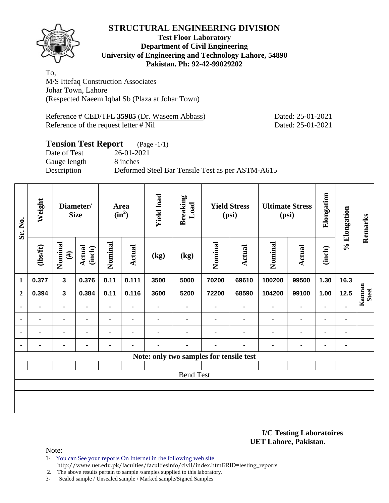

### **Test Floor Laboratory Department of Civil Engineering University of Engineering and Technology Lahore, 54890 Pakistan. Ph: 92-42-99029202**

To, M/S Ittefaq Construction Associates Johar Town, Lahore (Respected Naeem Iqbal Sb (Plaza at Johar Town)

Reference # CED/TFL **35985** (Dr. Waseem Abbass) Dated: 25-01-2021 Reference of the request letter # Nil Dated: 25-01-2021

# **Tension Test Report** (Page -1/1)

Date of Test 26-01-2021 Gauge length 8 inches

Description Deformed Steel Bar Tensile Test as per ASTM-A615

| Sr. No.        | Weight         |                   | Diameter/<br><b>Size</b> |                | Area<br>$(in^2)$ | <b>Yield load</b> | <b>Breaking</b><br>Load |                                         | <b>Yield Stress</b><br>(psi) |         | <b>Ultimate Stress</b><br>(psi) | Elongation | % Elongation | Remarks                |
|----------------|----------------|-------------------|--------------------------|----------------|------------------|-------------------|-------------------------|-----------------------------------------|------------------------------|---------|---------------------------------|------------|--------------|------------------------|
|                | (lbs/ft)       | Nominal<br>$(\#)$ | <b>Actual</b><br>(inch)  | Nominal        | Actual           | (kg)              | (kg)                    | Nominal                                 | Actual                       | Nominal | Actual                          | (inch)     |              |                        |
| $\mathbf{1}$   | 0.377          | $\mathbf{3}$      | 0.376                    | 0.11           | 0.111            | 3500              | 5000                    | 70200                                   | 69610                        | 100200  | 99500                           | 1.30       | 16.3         |                        |
| $\overline{2}$ | 0.394          | $\mathbf{3}$      | 0.384                    | 0.11           | 0.116            | 3600              | 5200                    | 72200                                   | 68590                        | 104200  | 99100                           | 1.00       | 12.5         | Kamran<br><b>Steel</b> |
|                | ٠              | ۰                 |                          | $\blacksquare$ | ٠                |                   |                         |                                         | $\blacksquare$               | ٠       | $\blacksquare$                  | ٠          |              |                        |
| ٠              | ۰              | ۰                 |                          | ۰              | $\blacksquare$   | ۰                 |                         | ٠                                       |                              |         | $\blacksquare$                  | ۰          | ٠            |                        |
|                | $\blacksquare$ | ٠                 | $\blacksquare$           | ۰              | $\blacksquare$   | $\blacksquare$    | $\blacksquare$          |                                         | $\blacksquare$               | ٠       | $\blacksquare$                  | ۰          | ٠            |                        |
|                |                | ۰                 |                          | ۰              | ٠                |                   |                         |                                         |                              |         | ٠                               | ٠          | ٠            |                        |
|                |                |                   |                          |                |                  |                   |                         | Note: only two samples for tensile test |                              |         |                                 |            |              |                        |
|                |                |                   |                          |                |                  |                   |                         |                                         |                              |         |                                 |            |              |                        |
|                |                |                   |                          |                |                  |                   | <b>Bend Test</b>        |                                         |                              |         |                                 |            |              |                        |
|                |                |                   |                          |                |                  |                   |                         |                                         |                              |         |                                 |            |              |                        |
|                |                |                   |                          |                |                  |                   |                         |                                         |                              |         |                                 |            |              |                        |
|                |                |                   |                          |                |                  |                   |                         |                                         |                              |         |                                 |            |              |                        |

**I/C Testing Laboratoires UET Lahore, Pakistan**.

Note:

- 1- You can See your reports On Internet in the following web site
	- http://www.uet.edu.pk/faculties/facultiesinfo/civil/index.html?RID=testing\_reports

2. The above results pertain to sample /samples supplied to this laboratory.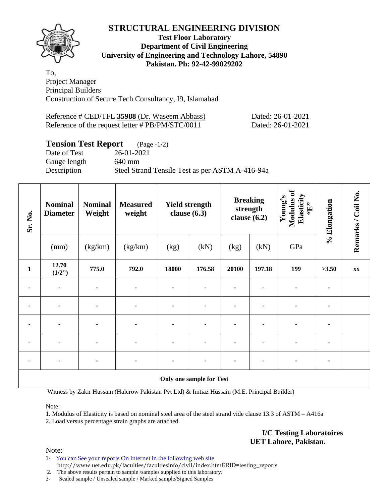

### **Test Floor Laboratory Department of Civil Engineering University of Engineering and Technology Lahore, 54890 Pakistan. Ph: 92-42-99029202**

To, Project Manager Principal Builders Construction of Secure Tech Consultancy, I9, Islamabad

| Reference # CED/TFL 35988 (Dr. Waseem Abbass)    | Dated: 26-01-2021 |
|--------------------------------------------------|-------------------|
| Reference of the request letter # PB/PM/STC/0011 | Dated: 26-01-2021 |

# **Tension Test Report** (Page -1/2)

Date of Test 26-01-2021 Gauge length 640 mm Description Steel Strand Tensile Test as per ASTM A-416-94a

| Sr. No.      | <b>Nominal</b><br><b>Diameter</b> | <b>Nominal</b><br>Weight | <b>Measured</b><br>weight | <b>Yield strength</b><br>clause $(6.3)$ |                          | <b>Breaking</b><br>strength<br>clause $(6.2)$ |        | Modulus of<br>Elasticity<br>Young's<br>$\mathbf{f}$ . | % Elongation | Remarks / Coil No. |
|--------------|-----------------------------------|--------------------------|---------------------------|-----------------------------------------|--------------------------|-----------------------------------------------|--------|-------------------------------------------------------|--------------|--------------------|
|              | (mm)                              | (kg/km)                  | (kg/km)                   | (kg)                                    | (kN)                     | (kg)                                          | (kN)   | GPa                                                   |              |                    |
| $\mathbf{1}$ | 12.70<br>(1/2")                   | 775.0                    | 792.0                     | 18000                                   | 176.58                   | 20100                                         | 197.18 | 199                                                   | >3.50        | XX                 |
| ٠            | $\blacksquare$                    | ۰                        | ٠                         | ۰                                       |                          |                                               |        |                                                       |              |                    |
|              | $\blacksquare$                    | $\blacksquare$           |                           |                                         |                          | ٠                                             |        |                                                       |              |                    |
|              |                                   |                          |                           |                                         |                          |                                               |        |                                                       |              |                    |
|              |                                   |                          |                           |                                         |                          |                                               |        |                                                       |              |                    |
|              |                                   |                          |                           |                                         |                          |                                               |        |                                                       |              |                    |
|              |                                   |                          |                           |                                         | Only one sample for Test |                                               |        |                                                       |              |                    |

Witness by Zakir Hussain (Halcrow Pakistan Pvt Ltd) & Imtiaz Hussain (M.E. Principal Builder)

Note:

1. Modulus of Elasticity is based on nominal steel area of the steel strand vide clause 13.3 of ASTM – A416a

2. Load versus percentage strain graphs are attached

**I/C Testing Laboratoires UET Lahore, Pakistan**.

Note:

1- You can See your reports On Internet in the following web site http://www.uet.edu.pk/faculties/facultiesinfo/civil/index.html?RID=testing\_reports

2. The above results pertain to sample /samples supplied to this laboratory.